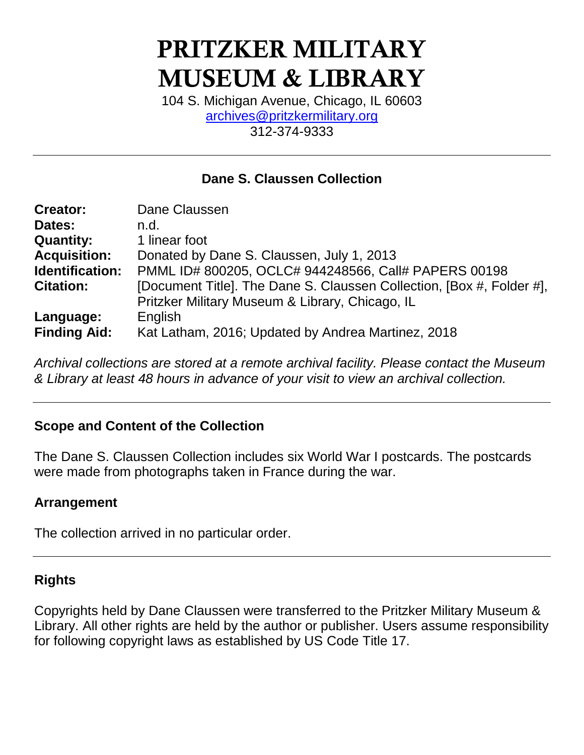# **PRITZKER MILITARY MUSEUM & LIBRARY**

104 S. Michigan Avenue, Chicago, IL 60603 [archives@pritzkermilitary.org](mailto:archives@pritzkermilitary.org) 312-374-9333

### **Dane S. Claussen Collection**

| <b>Creator:</b>     | Dane Claussen                                                                                                            |  |  |
|---------------------|--------------------------------------------------------------------------------------------------------------------------|--|--|
| Dates:              | n.d.                                                                                                                     |  |  |
| <b>Quantity:</b>    | 1 linear foot                                                                                                            |  |  |
| <b>Acquisition:</b> | Donated by Dane S. Claussen, July 1, 2013                                                                                |  |  |
| Identification:     | PMML ID# 800205, OCLC# 944248566, Call# PAPERS 00198                                                                     |  |  |
| <b>Citation:</b>    | [Document Title]. The Dane S. Claussen Collection, [Box #, Folder #],<br>Pritzker Military Museum & Library, Chicago, IL |  |  |
| Language:           | English                                                                                                                  |  |  |
| <b>Finding Aid:</b> | Kat Latham, 2016; Updated by Andrea Martinez, 2018                                                                       |  |  |

*Archival collections are stored at a remote archival facility. Please contact the Museum & Library at least 48 hours in advance of your visit to view an archival collection.*

#### **Scope and Content of the Collection**

The Dane S. Claussen Collection includes six World War I postcards. The postcards were made from photographs taken in France during the war.

#### **Arrangement**

The collection arrived in no particular order.

#### **Rights**

Copyrights held by Dane Claussen were transferred to the Pritzker Military Museum & Library. All other rights are held by the author or publisher. Users assume responsibility for following copyright laws as established by US Code Title 17.